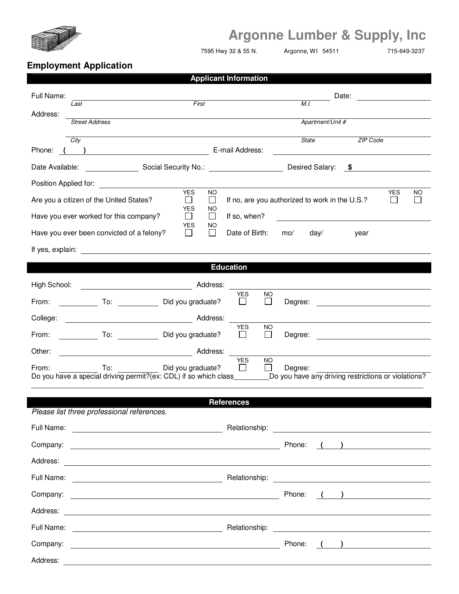

## **Argonne Lumber & Supply, Inc**

7595 Hwy 32 & 55 N. Argonne, WI 54511 715-649-3237

## **Employment Application**

| <b>Applicant Information</b> |                                                                                   |                                                                                                                                 |  |  |  |
|------------------------------|-----------------------------------------------------------------------------------|---------------------------------------------------------------------------------------------------------------------------------|--|--|--|
| Full Name:                   |                                                                                   | Date:<br><u>a sa tanàna amin'ny fivondronan-</u>                                                                                |  |  |  |
| Address:                     | First<br>Last                                                                     | M.I.                                                                                                                            |  |  |  |
|                              | <b>Street Address</b>                                                             | Apartment/Unit #                                                                                                                |  |  |  |
|                              | City                                                                              | <b>ZIP Code</b><br>State                                                                                                        |  |  |  |
| Phone:                       | $\overline{\phantom{a}}$                                                          | E-mail Address:                                                                                                                 |  |  |  |
|                              |                                                                                   | Desired Salary: \$                                                                                                              |  |  |  |
| Position Applied for:        | <b>YES</b><br><b>NO</b>                                                           | <b>YES</b><br>ΝO                                                                                                                |  |  |  |
|                              | $\mathsf{L}$<br>Are you a citizen of the United States?<br>$\Box$                 | If no, are you authorized to work in the U.S.?                                                                                  |  |  |  |
|                              | <b>YES</b><br>ΝO<br>Have you ever worked for this company?<br>$\perp$<br>⊔        | If so, when?                                                                                                                    |  |  |  |
|                              | YES<br>NO<br>Have you ever been convicted of a felony?<br>$\perp$<br>$\mathsf{L}$ | Date of Birth:<br>mo/<br>day/<br>year                                                                                           |  |  |  |
|                              |                                                                                   |                                                                                                                                 |  |  |  |
|                              |                                                                                   | <b>Education</b>                                                                                                                |  |  |  |
| High School:                 |                                                                                   |                                                                                                                                 |  |  |  |
| From:                        | To: Did you graduate?                                                             | <b>YES</b><br><b>NO</b><br>$\Box$<br>l 1<br>Degree:                                                                             |  |  |  |
| College:                     |                                                                                   |                                                                                                                                 |  |  |  |
| From:                        | Did you graduate?                                                                 | <b>YES</b><br><b>NO</b><br>$\perp$<br>Degree:<br>$\mathsf{L}$                                                                   |  |  |  |
| Other:                       | Address:                                                                          |                                                                                                                                 |  |  |  |
| From:                        | Did you graduate?<br>To:                                                          | <b>YES</b><br><b>NO</b><br>Degree:                                                                                              |  |  |  |
|                              |                                                                                   | Do you have a special driving permit?(ex: CDL) if so which class____________Do you have any driving restrictions or violations? |  |  |  |
| <b>References</b>            |                                                                                   |                                                                                                                                 |  |  |  |
|                              | Please list three professional references.                                        |                                                                                                                                 |  |  |  |
|                              |                                                                                   |                                                                                                                                 |  |  |  |
|                              |                                                                                   | Phone:<br>$\left(\begin{array}{c} \begin{array}{c} \end{array}\\ \end{array}\right)$                                            |  |  |  |
|                              |                                                                                   |                                                                                                                                 |  |  |  |
|                              |                                                                                   |                                                                                                                                 |  |  |  |
|                              |                                                                                   | Phone: ( )                                                                                                                      |  |  |  |
|                              |                                                                                   |                                                                                                                                 |  |  |  |
|                              |                                                                                   |                                                                                                                                 |  |  |  |
|                              |                                                                                   | Phone:<br>$\left(\begin{array}{c} \begin{array}{c} \end{array}\\ \end{array}\right)$                                            |  |  |  |
| Address:                     | <u> 1980 - Johann Stoff, Amerikaansk politiker (* 1908)</u>                       |                                                                                                                                 |  |  |  |